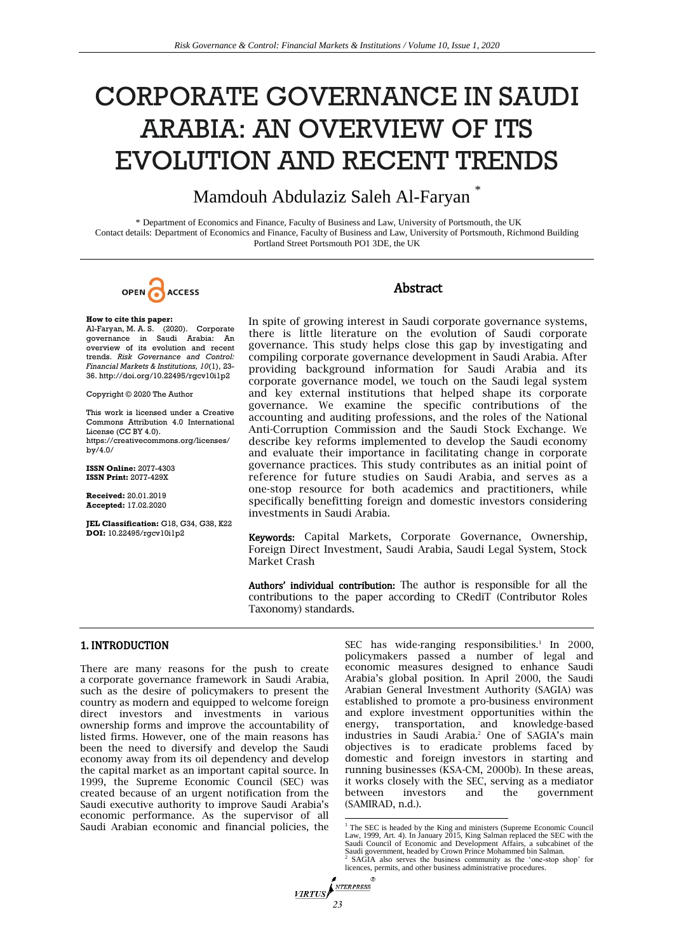# CORPORATE GOVERNANCE IN SAUDI ARABIA: AN OVERVIEW OF ITS EVOLUTION AND RECENT TRENDS

## Mamdouh Abdulaziz Saleh Al-Faryan

\* Department of Economics and Finance, Faculty of Business and Law, University of Portsmouth, the UK Contact details: Department of Economics and Finance, Faculty of Business and Law, University of Portsmouth, Richmond Building Portland Street Portsmouth PO1 3DE, the UK

OPEN ACCESS

## Abstract

**How to cite this paper:** 

Al-Faryan, M. A. S. (2020). Corporate governance in Saudi Arabia: An overview of its evolution and recent trends. *Risk Governance and Control: Financial Markets & Institutions, 10*(1), 23- 36. http://doi.org/10.22495/rgcv10i1p2

Copyright © 2020 The Author

This work is licensed under a Creative Commons Attribution 4.0 International License (CC BY 4.0). [https://creativecommons.org/licenses/](https://creativecommons.org/licenses/by/4.0/) [by/4.0/](https://creativecommons.org/licenses/by/4.0/)

**ISSN Online:** 2077-4303 **ISSN Print:** 2077-429X

**Received:** 20.01.2019 **Accepted:** 17.02.2020

**JEL Classification:** G18, G34, G38, K22 **DOI:** 10.22495/rgcv10i1p2

In spite of growing interest in Saudi corporate governance systems, there is little literature on the evolution of Saudi corporate governance. This study helps close this gap by investigating and compiling corporate governance development in Saudi Arabia. After providing background information for Saudi Arabia and its corporate governance model, we touch on the Saudi legal system and key external institutions that helped shape its corporate governance. We examine the specific contributions of the accounting and auditing professions, and the roles of the National Anti-Corruption Commission and the Saudi Stock Exchange. We describe key reforms implemented to develop the Saudi economy and evaluate their importance in facilitating change in corporate governance practices. This study contributes as an initial point of reference for future studies on Saudi Arabia, and serves as a one-stop resource for both academics and practitioners, while specifically benefitting foreign and domestic investors considering investments in Saudi Arabia.

Keywords: Capital Markets, Corporate Governance, Ownership, Foreign Direct Investment, Saudi Arabia, Saudi Legal System, Stock Market Crash

Authors' individual contribution: The author is responsible for all the contributions to the paper according to CRediT (Contributor Roles Taxonomy) standards.

## 1. INTRODUCTION

There are many reasons for the push to create a corporate governance framework in Saudi Arabia, such as the desire of policymakers to present the country as modern and equipped to welcome foreign direct investors and investments in various ownership forms and improve the accountability of listed firms. However, one of the main reasons has been the need to diversify and develop the Saudi economy away from its oil dependency and develop the capital market as an important capital source. In 1999, the Supreme Economic Council (SEC) was created because of an urgent notification from the Saudi executive authority to improve Saudi Arabia's economic performance. As the supervisor of all Saudi Arabian economic and financial policies, the

SEC has wide-ranging responsibilities. $1$  In 2000, policymakers passed a number of legal and economic measures designed to enhance Saudi Arabia's global position. In April 2000, the Saudi Arabian General Investment Authority (SAGIA) was established to promote a pro-business environment and explore investment opportunities within the transportation, and knowledge-based industries in Saudi Arabia.<sup>2</sup> One of SAGIA's main objectives is to eradicate problems faced by domestic and foreign investors in starting and running businesses (KSA-CM, 2000b). In these areas, it works closely with the SEC, serving as a mediator between investors and the government (SAMIRAD, n.d.).

 $VIRTUS$ 

<sup>&</sup>lt;sup>1</sup> The SEC is headed by the King and ministers (Supreme Economic Council Law, 1999, Art. 4). In January 2015, King Salman replaced the SEC with the Saudi Council of Economic and Development Affairs, a subcabinet of the Saudi government, headed by Crown Prince Mohammed bin Salman. 2 SAGIA also serves the business community as the 'one-stop shop' for licences, permits, and other business administrative procedures.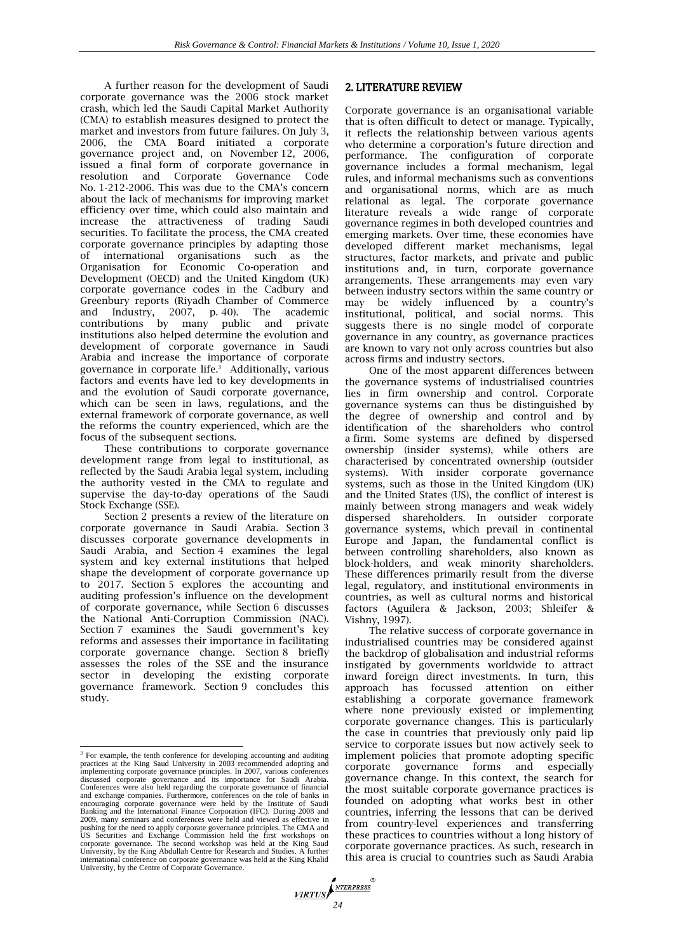A further reason for the development of Saudi corporate governance was the 2006 stock market crash, which led the Saudi Capital Market Authority (CMA) to establish measures designed to protect the market and investors from future failures. On July 3, 2006, the CMA Board initiated a corporate governance project and, on November 12, 2006, issued a final form of corporate governance in resolution and Corporate Governance Code No. 1-212-2006. This was due to the CMA's concern about the lack of mechanisms for improving market efficiency over time, which could also maintain and increase the attractiveness of trading Saudi securities. To facilitate the process, the CMA created corporate governance principles by adapting those of international organisations such as the Organisation for Economic Co-operation and Development (OECD) and the United Kingdom (UK) corporate governance codes in the Cadbury and Greenbury reports (Riyadh Chamber of Commerce and Industry, 2007, p. 40). The academic and Industry,  $2007$ , p. 40). The contributions by many public and private institutions also helped determine the evolution and development of corporate governance in Saudi Arabia and increase the importance of corporate governance in corporate life.<sup>3</sup> Additionally, various factors and events have led to key developments in and the evolution of Saudi corporate governance, which can be seen in laws, regulations, and the external framework of corporate governance, as well the reforms the country experienced, which are the focus of the subsequent sections.

These contributions to corporate governance development range from legal to institutional, as reflected by the Saudi Arabia legal system, including the authority vested in the CMA to regulate and supervise the day-to-day operations of the Saudi Stock Exchange (SSE).

Section 2 presents a review of the literature on corporate governance in Saudi Arabia. Section 3 discusses corporate governance developments in Saudi Arabia, and Section 4 examines the legal system and key external institutions that helped shape the development of corporate governance up to 2017. Section 5 explores the accounting and auditing profession's influence on the development of corporate governance, while Section 6 discusses the National Anti-Corruption Commission (NAC). Section 7 examines the Saudi government's key reforms and assesses their importance in facilitating corporate governance change. Section 8 briefly assesses the roles of the SSE and the insurance sector in developing the existing corporate governance framework. Section 9 concludes this study.

## 2. LITERATURE REVIEW

Corporate governance is an organisational variable that is often difficult to detect or manage. Typically, it reflects the relationship between various agents who determine a corporation's future direction and performance. The configuration of corporate governance includes a formal mechanism, legal rules, and informal mechanisms such as conventions and organisational norms, which are as much relational as legal. The corporate governance literature reveals a wide range of corporate governance regimes in both developed countries and emerging markets. Over time, these economies have developed different market mechanisms, legal structures, factor markets, and private and public institutions and, in turn, corporate governance arrangements. These arrangements may even vary between industry sectors within the same country or may be widely influenced by a country's institutional, political, and social norms. This suggests there is no single model of corporate governance in any country, as governance practices are known to vary not only across countries but also across firms and industry sectors.

One of the most apparent differences between the governance systems of industrialised countries lies in firm ownership and control. Corporate governance systems can thus be distinguished by the degree of ownership and control and by identification of the shareholders who control a firm. Some systems are defined by dispersed ownership (insider systems), while others are characterised by concentrated ownership (outsider systems). With insider corporate governance systems, such as those in the United Kingdom (UK) and the United States (US), the conflict of interest is mainly between strong managers and weak widely dispersed shareholders. In outsider corporate governance systems, which prevail in continental Europe and Japan, the fundamental conflict is between controlling shareholders, also known as block-holders, and weak minority shareholders. These differences primarily result from the diverse legal, regulatory, and institutional environments in countries, as well as cultural norms and historical factors (Aguilera & Jackson, 2003; Shleifer & Vishny, 1997).

The relative success of corporate governance in industrialised countries may be considered against the backdrop of globalisation and industrial reforms instigated by governments worldwide to attract inward foreign direct investments. In turn, this approach has focussed attention on either establishing a corporate governance framework where none previously existed or implementing corporate governance changes. This is particularly the case in countries that previously only paid lip service to corporate issues but now actively seek to implement policies that promote adopting specific corporate governance forms and especially governance change. In this context, the search for the most suitable corporate governance practices is founded on adopting what works best in other countries, inferring the lessons that can be derived from country-level experiences and transferring these practices to countries without a long history of corporate governance practices. As such, research in this area is crucial to countries such as Saudi Arabia

<sup>&</sup>lt;sup>3</sup> For example, the tenth conference for developing accounting and auditing practices at the King Saud University in 2003 recommended adopting and implementing corporate governance principles. In 2007, various conferences discussed corporate governance and its importance for Saudi Arabia. Conferences were also held regarding the corporate governance of financial and exchange companies. Furthermore, conferences on the role of banks in encouraging corporate governance were held by the Institute of Saudi Banking and the International Finance Corporation (IFC). During 2008 and 2009, many seminars and conferences were held and viewed as effective in pushing for the need to apply corporate governance principles. The CMA and US Securities and Exchange Commission held the first workshops on corporate governance. The second workshop was held at the King Saud University, by the King Abdullah Centre for Research and Studies. A further international conference on corporate governance was held at the King Khalid University, by the Centre of Corporate Governance.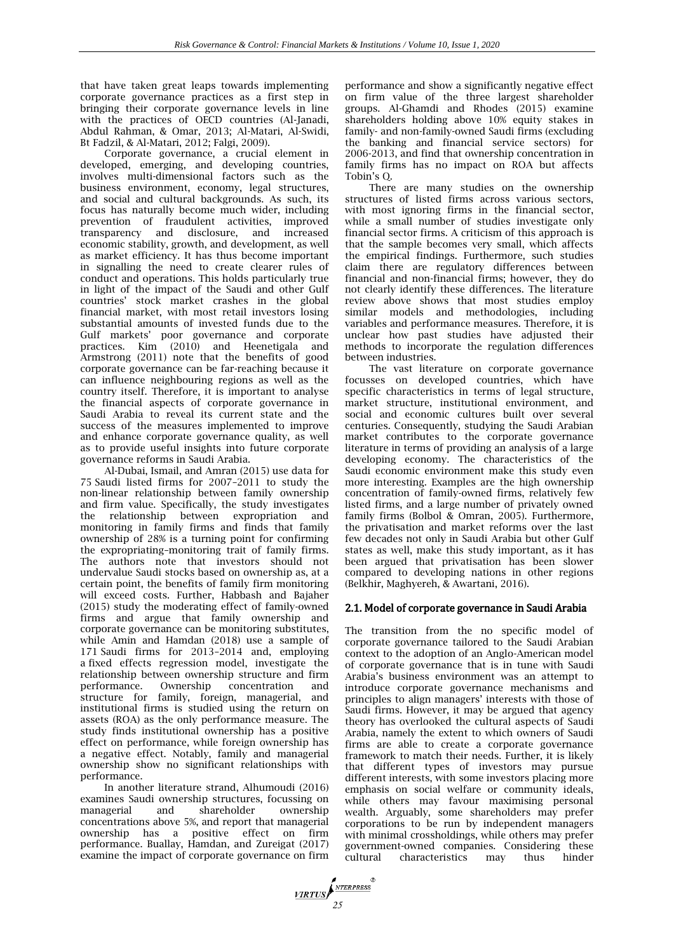that have taken great leaps towards implementing corporate governance practices as a first step in bringing their corporate governance levels in line with the practices of OECD countries (Al-Janadi, Abdul Rahman, & Omar, 2013; Al-Matari, Al-Swidi, Bt Fadzil, & Al-Matari, 2012; Falgi, 2009).

Corporate governance, a crucial element in developed, emerging, and developing countries, involves multi-dimensional factors such as the business environment, economy, legal structures, and social and cultural backgrounds. As such, its focus has naturally become much wider, including prevention of fraudulent activities, improved transparency and disclosure, and increased economic stability, growth, and development, as well as market efficiency. It has thus become important in signalling the need to create clearer rules of conduct and operations. This holds particularly true in light of the impact of the Saudi and other Gulf countries' stock market crashes in the global financial market, with most retail investors losing substantial amounts of invested funds due to the Gulf markets' poor governance and corporate practices. Kim (2010) and Heenetigala and Armstrong (2011) note that the benefits of good corporate governance can be far-reaching because it can influence neighbouring regions as well as the country itself. Therefore, it is important to analyse the financial aspects of corporate governance in Saudi Arabia to reveal its current state and the success of the measures implemented to improve and enhance corporate governance quality, as well as to provide useful insights into future corporate governance reforms in Saudi Arabia.

Al-Dubai, Ismail, and Amran (2015) use data for 75 Saudi listed firms for 2007–2011 to study the non-linear relationship between family ownership and firm value. Specifically, the study investigates the relationship between expropriation and monitoring in family firms and finds that family ownership of 28% is a turning point for confirming the expropriating–monitoring trait of family firms. The authors note that investors should not undervalue Saudi stocks based on ownership as, at a certain point, the benefits of family firm monitoring will exceed costs. Further, Habbash and Bajaher (2015) study the moderating effect of family-owned firms and argue that family ownership and corporate governance can be monitoring substitutes, while Amin and Hamdan (2018) use a sample of 171 Saudi firms for 2013–2014 and, employing a fixed effects regression model, investigate the relationship between ownership structure and firm<br>performance. Ownership concentration and concentration and structure for family, foreign, managerial, and institutional firms is studied using the return on assets (ROA) as the only performance measure. The study finds institutional ownership has a positive effect on performance, while foreign ownership has a negative effect. Notably, family and managerial ownership show no significant relationships with performance.

In another literature strand, Alhumoudi (2016) examines Saudi ownership structures, focussing on managerial and shareholder ownership concentrations above 5%, and report that managerial ownership has a positive effect on firm performance. Buallay, Hamdan, and Zureigat (2017) examine the impact of corporate governance on firm performance and show a significantly negative effect on firm value of the three largest shareholder groups. Al-Ghamdi and Rhodes (2015) examine shareholders holding above 10% equity stakes in family- and non-family-owned Saudi firms (excluding the banking and financial service sectors) for 2006-2013, and find that ownership concentration in family firms has no impact on ROA but affects Tobin's Q.

There are many studies on the ownership structures of listed firms across various sectors, with most ignoring firms in the financial sector, while a small number of studies investigate only financial sector firms. A criticism of this approach is that the sample becomes very small, which affects the empirical findings. Furthermore, such studies claim there are regulatory differences between financial and non-financial firms; however, they do not clearly identify these differences. The literature review above shows that most studies employ similar models and methodologies, including variables and performance measures. Therefore, it is unclear how past studies have adjusted their methods to incorporate the regulation differences between industries.

The vast literature on corporate governance focusses on developed countries, which have specific characteristics in terms of legal structure, market structure, institutional environment, and social and economic cultures built over several centuries. Consequently, studying the Saudi Arabian market contributes to the corporate governance literature in terms of providing an analysis of a large developing economy. The characteristics of the Saudi economic environment make this study even more interesting. Examples are the high ownership concentration of family-owned firms, relatively few listed firms, and a large number of privately owned family firms (Bolbol & Omran, 2005). Furthermore, the privatisation and market reforms over the last few decades not only in Saudi Arabia but other Gulf states as well, make this study important, as it has been argued that privatisation has been slower compared to developing nations in other regions (Belkhir, Maghyereh, & Awartani, 2016).

## 2.1. Model of corporate governance in Saudi Arabia

The transition from the no specific model of corporate governance tailored to the Saudi Arabian context to the adoption of an Anglo-American model of corporate governance that is in tune with Saudi Arabia's business environment was an attempt to introduce corporate governance mechanisms and principles to align managers' interests with those of Saudi firms. However, it may be argued that agency theory has overlooked the cultural aspects of Saudi Arabia, namely the extent to which owners of Saudi firms are able to create a corporate governance framework to match their needs. Further, it is likely that different types of investors may pursue different interests, with some investors placing more emphasis on social welfare or community ideals, while others may favour maximising personal wealth. Arguably, some shareholders may prefer corporations to be run by independent managers with minimal crossholdings, while others may prefer government-owned companies. Considering these cultural characteristics may thus hinder

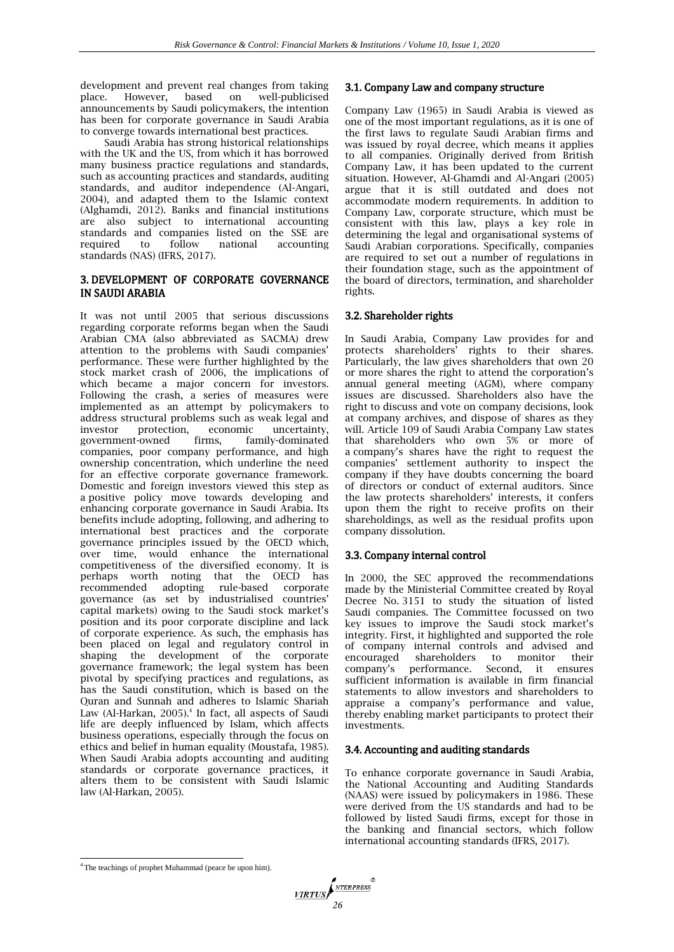development and prevent real changes from taking place. However, based on well-publicised announcements by Saudi policymakers, the intention has been for corporate governance in Saudi Arabia to converge towards international best practices.

Saudi Arabia has strong historical relationships with the UK and the US, from which it has borrowed many business practice regulations and standards, such as accounting practices and standards, auditing standards, and auditor independence (Al-Angari, 2004), and adapted them to the Islamic context (Alghamdi, 2012). Banks and financial institutions are also subject to international accounting standards and companies listed on the SSE are required to follow national accounting standards (NAS) (IFRS, 2017).

## 3. DEVELOPMENT OF CORPORATE GOVERNANCE IN SAUDI ARABIA

It was not until 2005 that serious discussions regarding corporate reforms began when the Saudi Arabian CMA (also abbreviated as SACMA) drew attention to the problems with Saudi companies' performance. These were further highlighted by the stock market crash of 2006, the implications of which became a major concern for investors. Following the crash, a series of measures were implemented as an attempt by policymakers to address structural problems such as weak legal and investor protection, economic uncertainty, government-owned companies, poor company performance, and high ownership concentration, which underline the need for an effective corporate governance framework. Domestic and foreign investors viewed this step as a positive policy move towards developing and enhancing corporate governance in Saudi Arabia. Its benefits include adopting, following, and adhering to international best practices and the corporate governance principles issued by the OECD which, over time, would enhance the international competitiveness of the diversified economy. It is perhaps worth noting that the OECD has recommended adopting rule-based corporate governance (as set by industrialised countries' capital markets) owing to the Saudi stock market's position and its poor corporate discipline and lack of corporate experience. As such, the emphasis has been placed on legal and regulatory control in shaping the development of the corporate governance framework; the legal system has been pivotal by specifying practices and regulations, as has the Saudi constitution, which is based on the Quran and Sunnah and adheres to Islamic Shariah Law (Al-Harkan, 2005).<sup>4</sup> In fact, all aspects of Saudi life are deeply influenced by Islam, which affects business operations, especially through the focus on ethics and belief in human equality (Moustafa, 1985). When Saudi Arabia adopts accounting and auditing standards or corporate governance practices, it alters them to be consistent with Saudi Islamic law (Al-Harkan, 2005).

## 3.1. Company Law and company structure

Company Law (1965) in Saudi Arabia is viewed as one of the most important regulations, as it is one of the first laws to regulate Saudi Arabian firms and was issued by royal decree, which means it applies to all companies. Originally derived from British Company Law, it has been updated to the current situation. However, Al-Ghamdi and Al-Angari (2005) argue that it is still outdated and does not accommodate modern requirements. In addition to Company Law, corporate structure, which must be consistent with this law, plays a key role in determining the legal and organisational systems of Saudi Arabian corporations. Specifically, companies are required to set out a number of regulations in their foundation stage, such as the appointment of the board of directors, termination, and shareholder rights.

## 3.2. Shareholder rights

In Saudi Arabia, Company Law provides for and protects shareholders' rights to their shares. Particularly, the law gives shareholders that own 20 or more shares the right to attend the corporation's annual general meeting (AGM), where company issues are discussed. Shareholders also have the right to discuss and vote on company decisions, look at company archives, and dispose of shares as they will. Article 109 of Saudi Arabia Company Law states that shareholders who own 5% or more of a company's shares have the right to request the companies' settlement authority to inspect the company if they have doubts concerning the board of directors or conduct of external auditors. Since the law protects shareholders' interests, it confers upon them the right to receive profits on their shareholdings, as well as the residual profits upon company dissolution.

## 3.3. Company internal control

In 2000, the SEC approved the recommendations made by the Ministerial Committee created by Royal Decree No. 3151 to study the situation of listed Saudi companies. The Committee focussed on two key issues to improve the Saudi stock market's integrity. First, it highlighted and supported the role of company internal controls and advised and encouraged shareholders to monitor their company's performance. Second, it ensures sufficient information is available in firm financial statements to allow investors and shareholders to appraise a company's performance and value, thereby enabling market participants to protect their investments.

## 3.4. Accounting and auditing standards

To enhance corporate governance in Saudi Arabia, the National Accounting and Auditing Standards (NAAS) were issued by policymakers in 1986. These were derived from the US standards and had to be followed by listed Saudi firms, except for those in the banking and financial sectors, which follow international accounting standards (IFRS, 2017).

 <sup>4</sup> The teachings of prophet Muhammad (peace be upon him).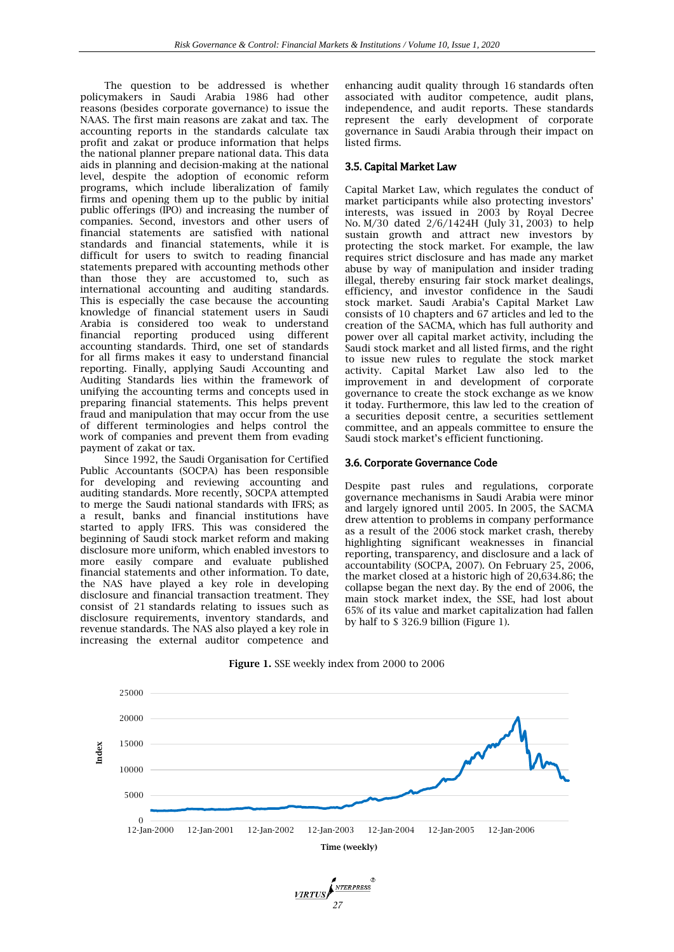The question to be addressed is whether policymakers in Saudi Arabia 1986 had other reasons (besides corporate governance) to issue the NAAS. The first main reasons are zakat and tax. The accounting reports in the standards calculate tax profit and zakat or produce information that helps the national planner prepare national data. This data aids in planning and decision-making at the national level, despite the adoption of economic reform programs, which include liberalization of family firms and opening them up to the public by initial public offerings (IPO) and increasing the number of companies. Second, investors and other users of financial statements are satisfied with national standards and financial statements, while it is difficult for users to switch to reading financial statements prepared with accounting methods other than those they are accustomed to, such as international accounting and auditing standards. This is especially the case because the accounting knowledge of financial statement users in Saudi Arabia is considered too weak to understand financial reporting produced using different accounting standards. Third, one set of standards for all firms makes it easy to understand financial reporting. Finally, applying Saudi Accounting and Auditing Standards lies within the framework of unifying the accounting terms and concepts used in preparing financial statements. This helps prevent fraud and manipulation that may occur from the use of different terminologies and helps control the work of companies and prevent them from evading payment of zakat or tax.

Since 1992, the Saudi Organisation for Certified Public Accountants (SOCPA) has been responsible for developing and reviewing accounting and auditing standards. More recently, SOCPA attempted to merge the Saudi national standards with IFRS; as a result, banks and financial institutions have started to apply IFRS. This was considered the beginning of Saudi stock market reform and making disclosure more uniform, which enabled investors to more easily compare and evaluate published financial statements and other information. To date, the NAS have played a key role in developing disclosure and financial transaction treatment. They consist of 21 standards relating to issues such as disclosure requirements, inventory standards, and revenue standards. The NAS also played a key role in increasing the external auditor competence and

enhancing audit quality through 16 standards often associated with auditor competence, audit plans, independence, and audit reports. These standards represent the early development of corporate governance in Saudi Arabia through their impact on listed firms.

## 3.5. Capital Market Law

Capital Market Law, which regulates the conduct of market participants while also protecting investors' interests, was issued in 2003 by Royal Decree No. M/30 dated 2/6/1424H (July 31, 2003) to help sustain growth and attract new investors by protecting the stock market. For example, the law requires strict disclosure and has made any market abuse by way of manipulation and insider trading illegal, thereby ensuring fair stock market dealings, efficiency, and investor confidence in the Saudi stock market. Saudi Arabia's Capital Market Law consists of 10 chapters and 67 articles and led to the creation of the SACMA, which has full authority and power over all capital market activity, including the Saudi stock market and all listed firms, and the right to issue new rules to regulate the stock market activity. Capital Market Law also led to the improvement in and development of corporate governance to create the stock exchange as we know it today. Furthermore, this law led to the creation of a securities deposit centre, a securities settlement committee, and an appeals committee to ensure the Saudi stock market's efficient functioning.

## 3.6. Corporate Governance Code

Despite past rules and regulations, corporate governance mechanisms in Saudi Arabia were minor and largely ignored until 2005. In 2005, the SACMA drew attention to problems in company performance as a result of the 2006 stock market crash, thereby highlighting significant weaknesses in financial reporting, transparency, and disclosure and a lack of accountability (SOCPA, 2007). On February 25, 2006, the market closed at a historic high of 20,634.86; the collapse began the next day. By the end of 2006, the main stock market index, the SSE, had lost about 65% of its value and market capitalization had fallen by half to \$ 326.9 billion (Figure 1).



*27RTUS* 

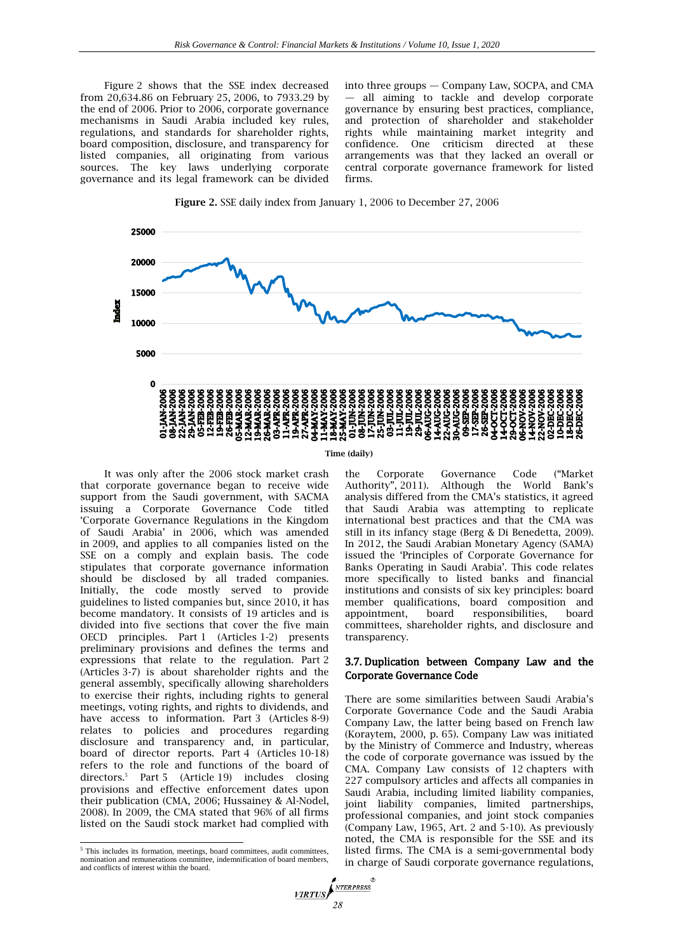Figure 2 shows that the SSE index decreased from 20,634.86 on February 25, 2006, to 7933.29 by the end of 2006. Prior to 2006, corporate governance mechanisms in Saudi Arabia included key rules, regulations, and standards for shareholder rights, board composition, disclosure, and transparency for listed companies, all originating from various sources. The key laws underlying corporate governance and its legal framework can be divided into three groups — Company Law, SOCPA, and CMA — all aiming to tackle and develop corporate governance by ensuring best practices, compliance, and protection of shareholder and stakeholder rights while maintaining market integrity and confidence. One criticism directed at these arrangements was that they lacked an overall or central corporate governance framework for listed firms.





#### **Time (daily)**

It was only after the 2006 stock market crash that corporate governance began to receive wide support from the Saudi government, with SACMA issuing a Corporate Governance Code titled 'Corporate Governance Regulations in the Kingdom of Saudi Arabia' in 2006, which was amended in 2009, and applies to all companies listed on the SSE on a comply and explain basis. The code stipulates that corporate governance information should be disclosed by all traded companies. Initially, the code mostly served to provide guidelines to listed companies but, since 2010, it has become mandatory. It consists of 19 articles and is divided into five sections that cover the five main OECD principles. Part 1 (Articles 1-2) presents preliminary provisions and defines the terms and expressions that relate to the regulation. Part 2 (Articles 3-7) is about shareholder rights and the general assembly, specifically allowing shareholders to exercise their rights, including rights to general meetings, voting rights, and rights to dividends, and have access to information. Part 3 (Articles 8-9) relates to policies and procedures regarding disclosure and transparency and, in particular, board of director reports. Part 4 (Articles 10-18) refers to the role and functions of the board of directors.<sup>5</sup> Part 5 (Article 19) includes closing provisions and effective enforcement dates upon their publication (CMA, 2006; Hussainey & Al-Nodel, 2008). In 2009, the CMA stated that 96% of all firms listed on the Saudi stock market had complied with

the Corporate Governance Code ("Market Authority", 2011). Although the World Bank's analysis differed from the CMA's statistics, it agreed that Saudi Arabia was attempting to replicate international best practices and that the CMA was still in its infancy stage (Berg & Di Benedetta, 2009). In 2012, the Saudi Arabian Monetary Agency (SAMA) issued the 'Principles of Corporate Governance for Banks Operating in Saudi Arabia'. This code relates more specifically to listed banks and financial institutions and consists of six key principles: board member qualifications, board composition and appointment, board responsibilities, board committees, shareholder rights, and disclosure and transparency.

## 3.7. Duplication between Company Law and the Corporate Governance Code

There are some similarities between Saudi Arabia's Corporate Governance Code and the Saudi Arabia Company Law, the latter being based on French law (Koraytem, 2000, p. 65). Company Law was initiated by the Ministry of Commerce and Industry, whereas the code of corporate governance was issued by the CMA. Company Law consists of 12 chapters with 227 compulsory articles and affects all companies in Saudi Arabia, including limited liability companies, joint liability companies, limited partnerships, professional companies, and joint stock companies (Company Law, 1965, Art. 2 and 5-10). As previously noted, the CMA is responsible for the SSE and its listed firms. The CMA is a semi-governmental body in charge of Saudi corporate governance regulations,

<sup>&</sup>lt;sup>5</sup> This includes its formation, meetings, board committees, audit committees, nomination and remunerations committee, indemnification of board members, and conflicts of interest within the board.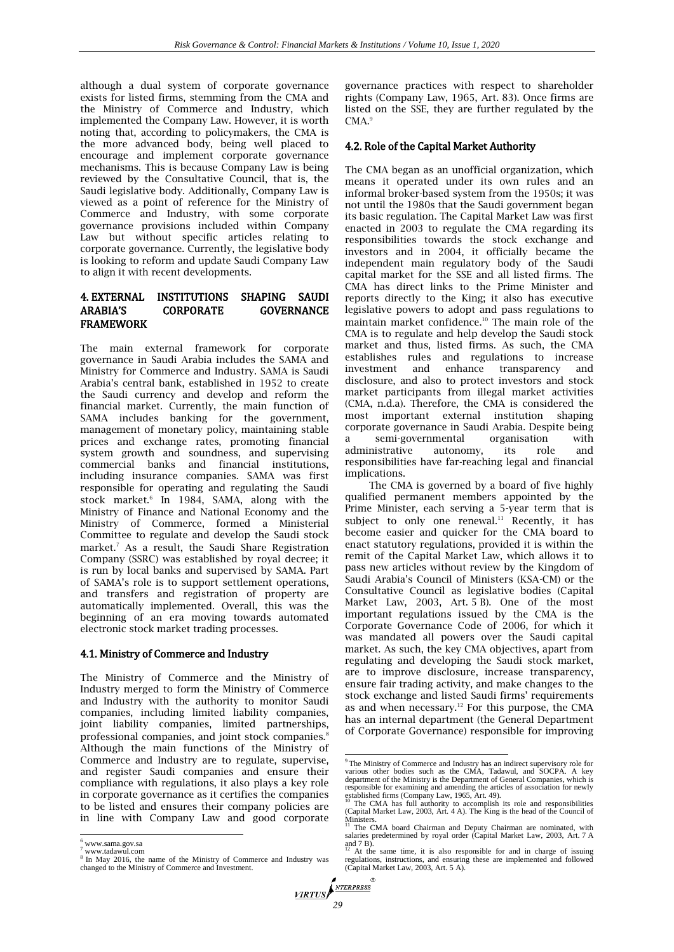although a dual system of corporate governance exists for listed firms, stemming from the CMA and the Ministry of Commerce and Industry, which implemented the Company Law. However, it is worth noting that, according to policymakers, the CMA is the more advanced body, being well placed to encourage and implement corporate governance mechanisms. This is because Company Law is being reviewed by the Consultative Council, that is, the Saudi legislative body. Additionally, Company Law is viewed as a point of reference for the Ministry of Commerce and Industry, with some corporate governance provisions included within Company Law but without specific articles relating to corporate governance. Currently, the legislative body is looking to reform and update Saudi Company Law to align it with recent developments.

## 4. EXTERNAL INSTITUTIONS SHAPING SAUDI ARABIA'S CORPORATE GOVERNANCE FRAMEWORK

The main external framework for corporate governance in Saudi Arabia includes the SAMA and Ministry for Commerce and Industry. SAMA is Saudi Arabia's central bank, established in 1952 to create the Saudi currency and develop and reform the financial market. Currently, the main function of SAMA includes banking for the government, management of monetary policy, maintaining stable prices and exchange rates, promoting financial system growth and soundness, and supervising commercial banks and financial institutions, including insurance companies. SAMA was first responsible for operating and regulating the Saudi stock market.<sup>6</sup> In 1984, SAMA, along with the Ministry of Finance and National Economy and the Ministry of Commerce, formed a Ministerial Committee to regulate and develop the Saudi stock market.<sup>7</sup> As a result, the Saudi Share Registration Company (SSRC) was established by royal decree; it is run by local banks and supervised by SAMA. Part of SAMA's role is to support settlement operations, and transfers and registration of property are automatically implemented. Overall, this was the beginning of an era moving towards automated electronic stock market trading processes.

## 4.1. Ministry of Commerce and Industry

The Ministry of Commerce and the Ministry of Industry merged to form the Ministry of Commerce and Industry with the authority to monitor Saudi companies, including limited liability companies, joint liability companies, limited partnerships, professional companies, and joint stock companies.<sup>8</sup> Although the main functions of the Ministry of Commerce and Industry are to regulate, supervise, and register Saudi companies and ensure their compliance with regulations, it also plays a key role in corporate governance as it certifies the companies to be listed and ensures their company policies are in line with Company Law and good corporate

 $\overline{\phantom{a}}$ 

governance practices with respect to shareholder rights (Company Law, 1965, Art. 83). Once firms are listed on the SSE, they are further regulated by the  $CMA.<sup>9</sup>$ 

## 4.2. Role of the Capital Market Authority

The CMA began as an unofficial organization, which means it operated under its own rules and an informal broker-based system from the 1950s; it was not until the 1980s that the Saudi government began its basic regulation. The Capital Market Law was first enacted in 2003 to regulate the CMA regarding its responsibilities towards the stock exchange and investors and in 2004, it officially became the independent main regulatory body of the Saudi capital market for the SSE and all listed firms. The CMA has direct links to the Prime Minister and reports directly to the King; it also has executive legislative powers to adopt and pass regulations to maintain market confidence.<sup>10</sup> The main role of the CMA is to regulate and help develop the Saudi stock market and thus, listed firms. As such, the CMA establishes rules and regulations to increase<br>investment and enhance transparency and investment and enhance transparency and disclosure, and also to protect investors and stock market participants from illegal market activities (CMA, n.d.a). Therefore, the CMA is considered the most important external institution shaping corporate governance in Saudi Arabia. Despite being a semi-governmental organisation with administrative autonomy, its role and responsibilities have far-reaching legal and financial implications.

The CMA is governed by a board of five highly qualified permanent members appointed by the Prime Minister, each serving a 5-year term that is subject to only one renewal. $11$  Recently, it has become easier and quicker for the CMA board to enact statutory regulations, provided it is within the remit of the Capital Market Law, which allows it to pass new articles without review by the Kingdom of Saudi Arabia's Council of Ministers (KSA-CM) or the Consultative Council as legislative bodies (Capital Market Law, 2003, Art. 5 B). One of the most important regulations issued by the CMA is the Corporate Governance Code of 2006, for which it was mandated all powers over the Saudi capital market. As such, the key CMA objectives, apart from regulating and developing the Saudi stock market, are to improve disclosure, increase transparency, ensure fair trading activity, and make changes to the stock exchange and listed Saudi firms' requirements as and when necessary.<sup>12</sup> For this purpose, the CMA has an internal department (the General Department of Corporate Governance) responsible for improving

<sup>6</sup> www.sama.gov.sa

<sup>7</sup> www.tadawul.com

<sup>&</sup>lt;sup>8</sup> In May 2016, the name of the Ministry of Commerce and Industry was changed to the Ministry of Commerce and Investment.

 <sup>9</sup>The Ministry of Commerce and Industry has an indirect supervisory role for various other bodies such as the CMA, Tadawul, and SOCPA. A key department of the Ministry is the Department of General Companies, which is responsible for examining and amending the articles of association for newly<br>established firms (Company Law, 1965, Art. 49).<br><sup>10</sup> The CMA has full authority to accomplish its role and responsibilities<br>Capital Market Law, 2

 $Ministers.$ 

The CMA board Chairman and Deputy Chairman are nominated, with salaries predetermined by royal order (Capital Market Law, 2003, Art. 7 A and  $\overline{7}$  B)

<sup>&</sup>lt;sup>12</sup> At the same time, it is also responsible for and in charge of issuing regulations, instructions, and ensuring these are implemented and followed (Capital Market Law, 2003, Art. 5 A).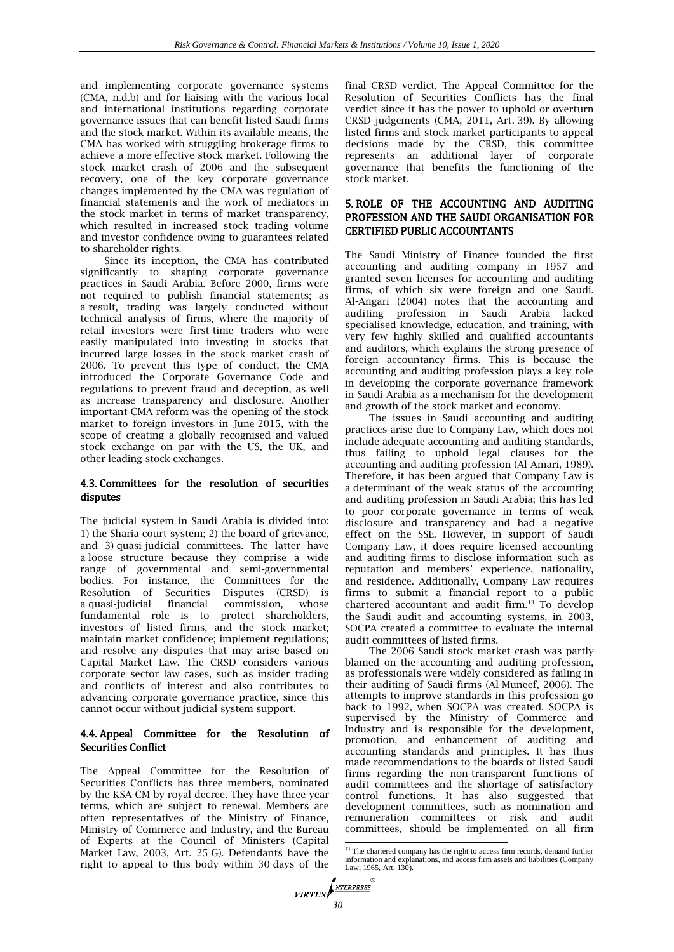and implementing corporate governance systems (CMA, n.d.b) and for liaising with the various local and international institutions regarding corporate governance issues that can benefit listed Saudi firms and the stock market. Within its available means, the CMA has worked with struggling brokerage firms to achieve a more effective stock market. Following the stock market crash of 2006 and the subsequent recovery, one of the key corporate governance changes implemented by the CMA was regulation of financial statements and the work of mediators in the stock market in terms of market transparency, which resulted in increased stock trading volume and investor confidence owing to guarantees related to shareholder rights.

Since its inception, the CMA has contributed significantly to shaping corporate governance practices in Saudi Arabia. Before 2000, firms were not required to publish financial statements; as a result, trading was largely conducted without technical analysis of firms, where the majority of retail investors were first-time traders who were easily manipulated into investing in stocks that incurred large losses in the stock market crash of 2006. To prevent this type of conduct, the CMA introduced the Corporate Governance Code and regulations to prevent fraud and deception, as well as increase transparency and disclosure. Another important CMA reform was the opening of the stock market to foreign investors in June 2015, with the scope of creating a globally recognised and valued stock exchange on par with the US, the UK, and other leading stock exchanges.

## 4.3. Committees for the resolution of securities disputes

The judicial system in Saudi Arabia is divided into: 1) the Sharia court system; 2) the board of grievance, and 3) quasi-judicial committees. The latter have a loose structure because they comprise a wide range of governmental and semi-governmental bodies. For instance, the Committees for the Resolution of Securities Disputes (CRSD) is a quasi-judicial financial commission, whose fundamental role is to protect shareholders, investors of listed firms, and the stock market; maintain market confidence; implement regulations; and resolve any disputes that may arise based on Capital Market Law. The CRSD considers various corporate sector law cases, such as insider trading and conflicts of interest and also contributes to advancing corporate governance practice, since this cannot occur without judicial system support.

## 4.4. Appeal Committee for the Resolution of Securities Conflict

The Appeal Committee for the Resolution of Securities Conflicts has three members, nominated by the KSA-CM by royal decree. They have three-year terms, which are subject to renewal. Members are often representatives of the Ministry of Finance, Ministry of Commerce and Industry, and the Bureau of Experts at the Council of Ministers (Capital Market Law, 2003, Art. 25 G). Defendants have the right to appeal to this body within 30 days of the

final CRSD verdict. The Appeal Committee for the Resolution of Securities Conflicts has the final verdict since it has the power to uphold or overturn CRSD judgements (CMA, 2011, Art. 39). By allowing listed firms and stock market participants to appeal decisions made by the CRSD, this committee represents an additional layer of corporate governance that benefits the functioning of the stock market.

## 5. ROLE OF THE ACCOUNTING AND AUDITING PROFESSION AND THE SAUDI ORGANISATION FOR CERTIFIED PUBLIC ACCOUNTANTS

The Saudi Ministry of Finance founded the first accounting and auditing company in 1957 and granted seven licenses for accounting and auditing firms, of which six were foreign and one Saudi. Al-Angari (2004) notes that the accounting and auditing profession in Saudi Arabia lacked specialised knowledge, education, and training, with very few highly skilled and qualified accountants and auditors, which explains the strong presence of foreign accountancy firms. This is because the accounting and auditing profession plays a key role in developing the corporate governance framework in Saudi Arabia as a mechanism for the development and growth of the stock market and economy.

The issues in Saudi accounting and auditing practices arise due to Company Law, which does not include adequate accounting and auditing standards, thus failing to uphold legal clauses for the accounting and auditing profession (Al-Amari, 1989). Therefore, it has been argued that Company Law is a determinant of the weak status of the accounting and auditing profession in Saudi Arabia; this has led to poor corporate governance in terms of weak disclosure and transparency and had a negative effect on the SSE. However, in support of Saudi Company Law, it does require licensed accounting and auditing firms to disclose information such as reputation and members' experience, nationality, and residence. Additionally, Company Law requires firms to submit a financial report to a public chartered accountant and audit firm.<sup>13</sup> To develop the Saudi audit and accounting systems, in 2003, SOCPA created a committee to evaluate the internal audit committees of listed firms.

The 2006 Saudi stock market crash was partly blamed on the accounting and auditing profession, as professionals were widely considered as failing in their auditing of Saudi firms (Al-Muneef, 2006). The attempts to improve standards in this profession go back to 1992, when SOCPA was created. SOCPA is supervised by the Ministry of Commerce and Industry and is responsible for the development, promotion, and enhancement of auditing and accounting standards and principles. It has thus made recommendations to the boards of listed Saudi firms regarding the non-transparent functions of audit committees and the shortage of satisfactory control functions. It has also suggested that development committees, such as nomination and remuneration committees or risk and audit committees, should be implemented on all firm

<sup>&</sup>lt;sup>13</sup> The chartered company has the right to access firm records, demand further information and explanations, and access firm assets and liabilities (Company Law, 1965, Art. 130).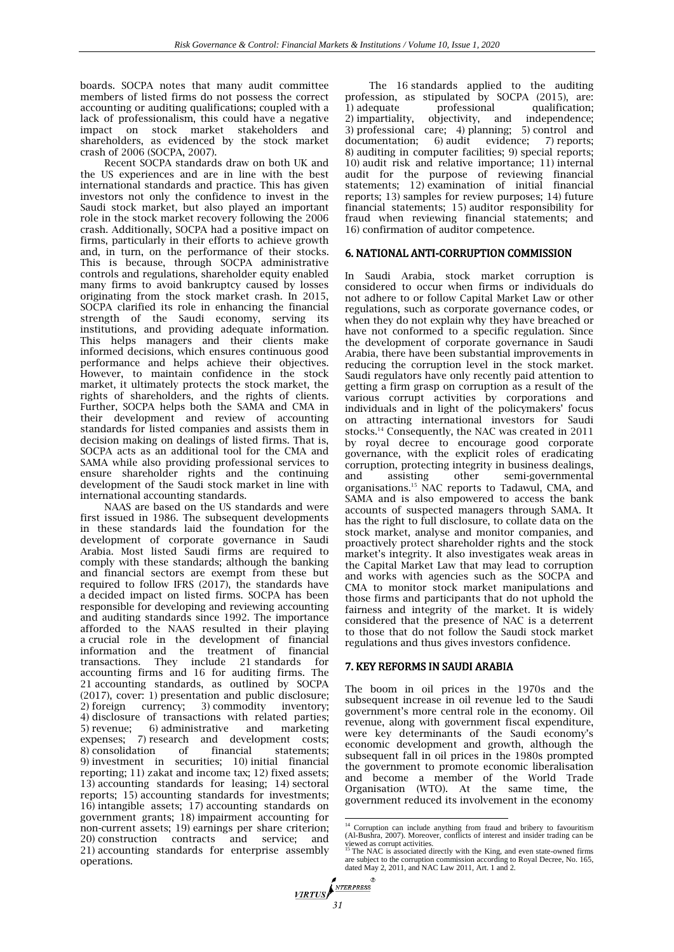boards. SOCPA notes that many audit committee members of listed firms do not possess the correct accounting or auditing qualifications; coupled with a lack of professionalism, this could have a negative impact on stock market stakeholders and shareholders, as evidenced by the stock market crash of 2006 (SOCPA, 2007).

Recent SOCPA standards draw on both UK and the US experiences and are in line with the best international standards and practice. This has given investors not only the confidence to invest in the Saudi stock market, but also played an important role in the stock market recovery following the 2006 crash. Additionally, SOCPA had a positive impact on firms, particularly in their efforts to achieve growth and, in turn, on the performance of their stocks. This is because, through SOCPA administrative controls and regulations, shareholder equity enabled many firms to avoid bankruptcy caused by losses originating from the stock market crash. In 2015, SOCPA clarified its role in enhancing the financial strength of the Saudi economy, serving its institutions, and providing adequate information. This helps managers and their clients make informed decisions, which ensures continuous good performance and helps achieve their objectives. However, to maintain confidence in the stock market, it ultimately protects the stock market, the rights of shareholders, and the rights of clients. Further, SOCPA helps both the SAMA and CMA in their development and review of accounting standards for listed companies and assists them in decision making on dealings of listed firms. That is, SOCPA acts as an additional tool for the CMA and SAMA while also providing professional services to ensure shareholder rights and the continuing development of the Saudi stock market in line with international accounting standards.

NAAS are based on the US standards and were first issued in 1986. The subsequent developments in these standards laid the foundation for the development of corporate governance in Saudi Arabia. Most listed Saudi firms are required to comply with these standards; although the banking and financial sectors are exempt from these but required to follow IFRS (2017), the standards have a decided impact on listed firms. SOCPA has been responsible for developing and reviewing accounting and auditing standards since 1992. The importance afforded to the NAAS resulted in their playing a crucial role in the development of financial information and the treatment of financial transactions. They include 21 standards for accounting firms and 16 for auditing firms. The 21 accounting standards, as outlined by SOCPA (2017), cover: 1) presentation and public disclosure; 2) foreign currency; 3) commodity inventory; 4) disclosure of transactions with related parties; 5) revenue; 6) administrative and marketing expenses; 7) research and development costs; 8) consolidation of financial statements; 9) investment in securities; 10) initial financial reporting; 11) zakat and income tax; 12) fixed assets; 13) accounting standards for leasing; 14) sectoral reports; 15) accounting standards for investments; 16) intangible assets; 17) accounting standards on government grants; 18) impairment accounting for non-current assets; 19) earnings per share criterion; 20) construction contracts and service; and 21) accounting standards for enterprise assembly operations.

The 16 standards applied to the auditing profession, as stipulated by SOCPA (2015), are:<br>1) adequate professional qualification; 1) adequate professional qualification;<br>2) impartiality, objectivity, and independence; objectivity, and independence; 3) professional care; 4) planning; 5) control and documentation; 6) audit evidence; 7) reports;  $6)$  audit evidence; 7) reports; 8) auditing in computer facilities; 9) special reports; 10) audit risk and relative importance; 11) internal audit for the purpose of reviewing financial statements; 12) examination of initial financial reports; 13) samples for review purposes; 14) future financial statements; 15) auditor responsibility for fraud when reviewing financial statements; and 16) confirmation of auditor competence.

## 6. NATIONAL ANTI-CORRUPTION COMMISSION

In Saudi Arabia, stock market corruption is considered to occur when firms or individuals do not adhere to or follow Capital Market Law or other regulations, such as corporate governance codes, or when they do not explain why they have breached or have not conformed to a specific regulation. Since the development of corporate governance in Saudi Arabia, there have been substantial improvements in reducing the corruption level in the stock market. Saudi regulators have only recently paid attention to getting a firm grasp on corruption as a result of the various corrupt activities by corporations and individuals and in light of the policymakers' focus on attracting international investors for Saudi stocks.<sup>14</sup> Consequently, the NAC was created in 2011 by royal decree to encourage good corporate governance, with the explicit roles of eradicating corruption, protecting integrity in business dealings, and assisting other semi-governmental organisations.<sup>15</sup> NAC reports to Tadawul, CMA, and SAMA and is also empowered to access the bank accounts of suspected managers through SAMA. It has the right to full disclosure, to collate data on the stock market, analyse and monitor companies, and proactively protect shareholder rights and the stock market's integrity. It also investigates weak areas in the Capital Market Law that may lead to corruption and works with agencies such as the SOCPA and CMA to monitor stock market manipulations and those firms and participants that do not uphold the fairness and integrity of the market. It is widely considered that the presence of NAC is a deterrent to those that do not follow the Saudi stock market regulations and thus gives investors confidence.

## 7. KEY REFORMS IN SAUDI ARABIA

The boom in oil prices in the 1970s and the subsequent increase in oil revenue led to the Saudi government's more central role in the economy. Oil revenue, along with government fiscal expenditure, were key determinants of the Saudi economy's economic development and growth, although the subsequent fall in oil prices in the 1980s prompted the government to promote economic liberalisation and become a member of the World Trade Organisation (WTO). At the same time, the government reduced its involvement in the economy

 $\frac{1}{14}$  Corruption can include anything from fraud and bribery to favouritism (Al-Bushra, 2007). Moreover, conflicts of interest and insider trading can be

viewed as corrupt activities.<br><sup>15</sup> The NAC is associated directly with the King, and even state-owned firms<br>are subject to the corruption commission according to Royal Decree, No. 165,<br>dated May 2, 2011, and NAC Law 2011,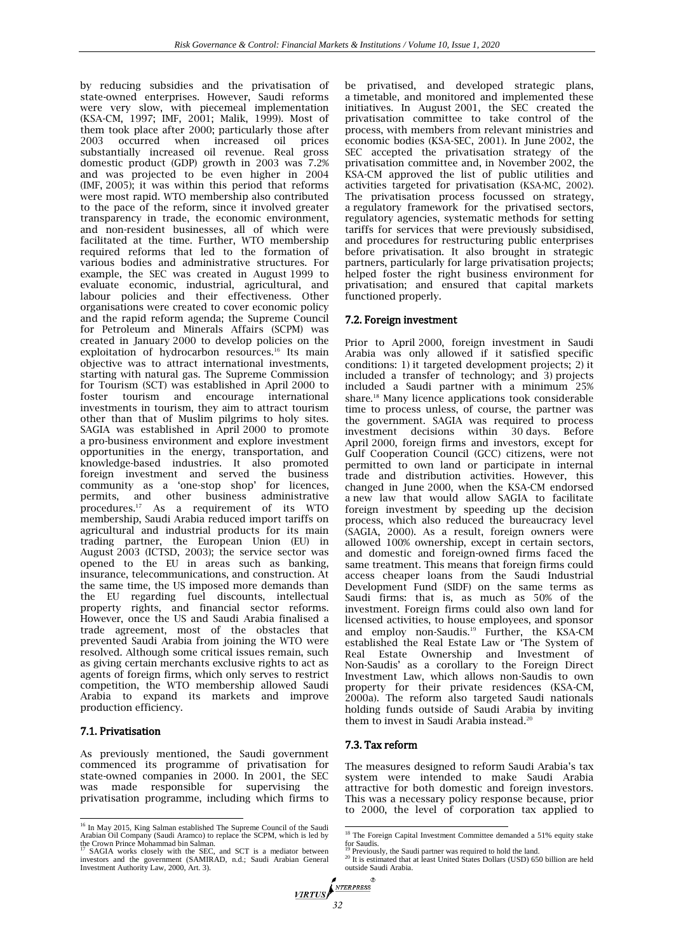by reducing subsidies and the privatisation of state-owned enterprises. However, Saudi reforms were very slow, with piecemeal implementation (KSA-CM, 1997; IMF, 2001; Malik, 1999). Most of them took place after 2000; particularly those after 2003 occurred when increased oil prices occurred when increased oil substantially increased oil revenue. Real gross domestic product (GDP) growth in 2003 was 7.2% and was projected to be even higher in 2004 (IMF, 2005); it was within this period that reforms were most rapid. WTO membership also contributed to the pace of the reform, since it involved greater transparency in trade, the economic environment, and non-resident businesses, all of which were facilitated at the time. Further, WTO membership required reforms that led to the formation of various bodies and administrative structures. For example, the SEC was created in August 1999 to evaluate economic, industrial, agricultural, and labour policies and their effectiveness. Other organisations were created to cover economic policy and the rapid reform agenda; the Supreme Council for Petroleum and Minerals Affairs (SCPM) was created in January 2000 to develop policies on the exploitation of hydrocarbon resources.<sup>16</sup> Its main objective was to attract international investments, starting with natural gas. The Supreme Commission for Tourism (SCT) was established in April 2000 to foster tourism and encourage international investments in tourism, they aim to attract tourism other than that of Muslim pilgrims to holy sites. SAGIA was established in April 2000 to promote a pro-business environment and explore investment opportunities in the energy, transportation, and knowledge-based industries. It also promoted foreign investment and served the business community as a 'one-stop shop' for licences, permits, and other business administrative procedures.<sup>17</sup> As a requirement of its WTO membership, Saudi Arabia reduced import tariffs on agricultural and industrial products for its main trading partner, the European Union (EU) in August 2003 (ICTSD, 2003); the service sector was opened to the EU in areas such as banking, insurance, telecommunications, and construction. At the same time, the US imposed more demands than the EU regarding fuel discounts, intellectual property rights, and financial sector reforms. However, once the US and Saudi Arabia finalised a trade agreement, most of the obstacles that prevented Saudi Arabia from joining the WTO were resolved. Although some critical issues remain, such as giving certain merchants exclusive rights to act as agents of foreign firms, which only serves to restrict competition, the WTO membership allowed Saudi Arabia to expand its markets and improve production efficiency.

## 7.1. Privatisation

As previously mentioned, the Saudi government commenced its programme of privatisation for state-owned companies in 2000. In 2001, the SEC was made responsible for supervising the privatisation programme, including which firms to

be privatised, and developed strategic plans, a timetable, and monitored and implemented these initiatives. In August 2001, the SEC created the privatisation committee to take control of the process, with members from relevant ministries and economic bodies (KSA-SEC, 2001). In June 2002, the SEC accepted the privatisation strategy of the privatisation committee and, in November 2002, the KSA-CM approved the list of public utilities and activities targeted for privatisation (KSA-MC, 2002). The privatisation process focussed on strategy, a regulatory framework for the privatised sectors, regulatory agencies, systematic methods for setting tariffs for services that were previously subsidised, and procedures for restructuring public enterprises before privatisation. It also brought in strategic partners, particularly for large privatisation projects; helped foster the right business environment for privatisation; and ensured that capital markets functioned properly.

## 7.2. Foreign investment

Prior to April 2000, foreign investment in Saudi Arabia was only allowed if it satisfied specific conditions: 1) it targeted development projects; 2) it included a transfer of technology; and 3) projects included a Saudi partner with a minimum 25% share.<sup>18</sup> Many licence applications took considerable time to process unless, of course, the partner was the government. SAGIA was required to process<br>investment decisions within 30 days Refore investment decisions within 30 days. April 2000, foreign firms and investors, except for Gulf Cooperation Council (GCC) citizens, were not permitted to own land or participate in internal trade and distribution activities. However, this changed in June 2000, when the KSA-CM endorsed a new law that would allow SAGIA to facilitate foreign investment by speeding up the decision process, which also reduced the bureaucracy level (SAGIA, 2000). As a result, foreign owners were allowed 100% ownership, except in certain sectors, and domestic and foreign-owned firms faced the same treatment. This means that foreign firms could access cheaper loans from the Saudi Industrial Development Fund (SIDF) on the same terms as Saudi firms: that is, as much as 50% of the investment. Foreign firms could also own land for licensed activities, to house employees, and sponsor and employ non-Saudis.<sup>19</sup> Further, the KSA-CM established the Real Estate Law or 'The System of Real Estate Ownership and Investment of Non-Saudis' as a corollary to the Foreign Direct Investment Law, which allows non-Saudis to own property for their private residences (KSA-CM, 2000a). The reform also targeted Saudi nationals holding funds outside of Saudi Arabia by inviting them to invest in Saudi Arabia instead.<sup>20</sup>

## 7.3. Tax reform

The measures designed to reform Saudi Arabia's tax system were intended to make Saudi Arabia attractive for both domestic and foreign investors. This was a necessary policy response because, prior to 2000, the level of corporation tax applied to

<sup>&</sup>lt;sup>16</sup> In May 2015, King Salman established The Supreme Council of the Saudi

Arabian Oil Company (Saudi Aramco) to replace the SCPM, which is led by<br>the Crown Prince Mohammad bin Salman.<br><sup>17</sup> SAGIA works closely with the SEC, and SCT is a mediator between<br>investors and the government (SAMIRAD, n.d.

<sup>18</sup> The Foreign Capital Investment Committee demanded a 51% equity stake

for Saudis.<br><sup>19</sup> Previously, the Saudi partner was required to hold the land.<br><sup>20</sup> It is estimated that at least United States Dollars (USD) 650 billion are held outside Saudi Arabia.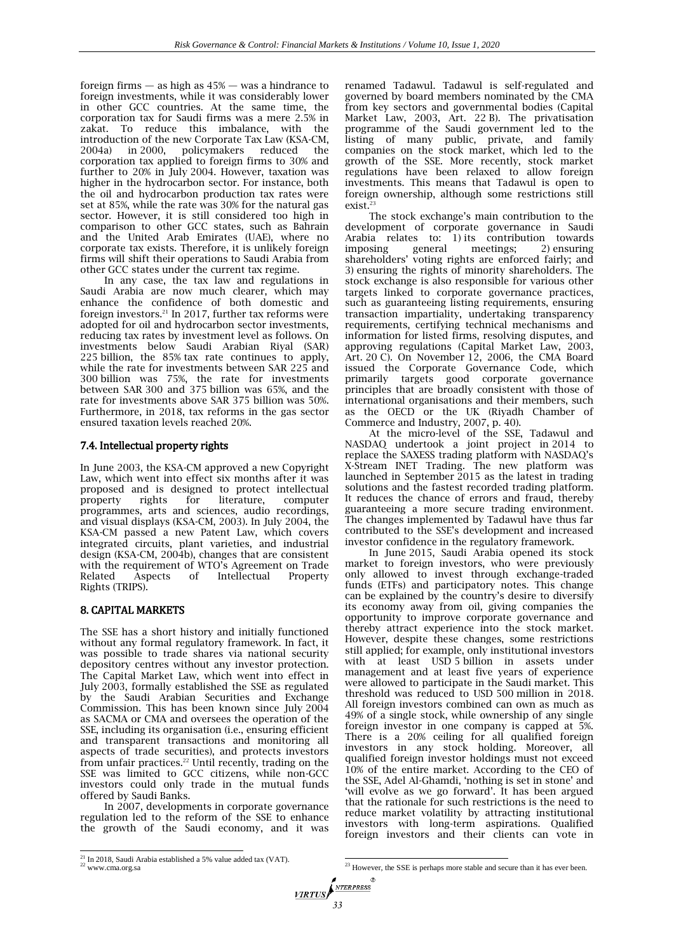foreign firms  $-$  as high as  $45\%$   $-$  was a hindrance to foreign investments, while it was considerably lower in other GCC countries. At the same time, the corporation tax for Saudi firms was a mere 2.5% in zakat. To reduce this imbalance, with the introduction of the new Corporate Tax Law (KSA-CM, 2004a) in 2000, policymakers reduced the corporation tax applied to foreign firms to 30% and further to 20% in July 2004. However, taxation was higher in the hydrocarbon sector. For instance, both the oil and hydrocarbon production tax rates were set at 85%, while the rate was 30% for the natural gas sector. However, it is still considered too high in comparison to other GCC states, such as Bahrain and the United Arab Emirates (UAE), where no corporate tax exists. Therefore, it is unlikely foreign firms will shift their operations to Saudi Arabia from other GCC states under the current tax regime.

In any case, the tax law and regulations in Saudi Arabia are now much clearer, which may enhance the confidence of both domestic and foreign investors.<sup>21</sup> In 2017, further tax reforms were adopted for oil and hydrocarbon sector investments, reducing tax rates by investment level as follows. On investments below Saudi Arabian Riyal (SAR) 225 billion, the 85% tax rate continues to apply, while the rate for investments between SAR 225 and 300 billion was 75%, the rate for investments between SAR 300 and 375 billion was 65%, and the rate for investments above SAR 375 billion was 50%. Furthermore, in 2018, tax reforms in the gas sector ensured taxation levels reached 20%.

## 7.4. Intellectual property rights

In June 2003, the KSA-CM approved a new Copyright Law, which went into effect six months after it was proposed and is designed to protect intellectual rights for literature, computer programmes, arts and sciences, audio recordings, and visual displays (KSA-CM, 2003). In July 2004, the KSA-CM passed a new Patent Law, which covers integrated circuits, plant varieties, and industrial design (KSA-CM, 2004b), changes that are consistent with the requirement of WTO's Agreement on Trade Related Aspects of Intellectual Property Rights (TRIPS).

## 8. CAPITAL MARKETS

The SSE has a short history and initially functioned without any formal regulatory framework. In fact, it was possible to trade shares via national security depository centres without any investor protection. The Capital Market Law, which went into effect in July 2003, formally established the SSE as regulated by the Saudi Arabian Securities and Exchange Commission. This has been known since July 2004 as SACMA or CMA and oversees the operation of the SSE, including its organisation (i.e., ensuring efficient and transparent transactions and monitoring all aspects of trade securities), and protects investors from unfair practices.<sup>22</sup> Until recently, trading on the SSE was limited to GCC citizens, while non-GCC investors could only trade in the mutual funds offered by Saudi Banks.

In 2007, developments in corporate governance regulation led to the reform of the SSE to enhance the growth of the Saudi economy, and it was renamed Tadawul. Tadawul is self-regulated and governed by board members nominated by the CMA from key sectors and governmental bodies (Capital Market Law, 2003, Art. 22 B). The privatisation programme of the Saudi government led to the listing of many public, private, and family companies on the stock market, which led to the growth of the SSE. More recently, stock market regulations have been relaxed to allow foreign investments. This means that Tadawul is open to foreign ownership, although some restrictions still exist.<sup>23</sup>

The stock exchange's main contribution to the development of corporate governance in Saudi Arabia relates to: 1) its contribution towards imposing general meetings; 2) ensuring shareholders' voting rights are enforced fairly; and 3) ensuring the rights of minority shareholders. The stock exchange is also responsible for various other targets linked to corporate governance practices, such as guaranteeing listing requirements, ensuring transaction impartiality, undertaking transparency requirements, certifying technical mechanisms and information for listed firms, resolving disputes, and approving regulations (Capital Market Law, 2003, Art. 20 C). On November 12, 2006, the CMA Board issued the Corporate Governance Code, which primarily targets good corporate governance principles that are broadly consistent with those of international organisations and their members, such as the OECD or the UK (Riyadh Chamber of Commerce and Industry, 2007, p. 40).

At the micro-level of the SSE, Tadawul and NASDAQ undertook a joint project in 2014 to replace the SAXESS trading platform with NASDAQ's X-Stream INET Trading. The new platform was launched in September 2015 as the latest in trading solutions and the fastest recorded trading platform. It reduces the chance of errors and fraud, thereby guaranteeing a more secure trading environment. The changes implemented by Tadawul have thus far contributed to the SSE's development and increased investor confidence in the regulatory framework.

In June 2015, Saudi Arabia opened its stock market to foreign investors, who were previously only allowed to invest through exchange-traded funds (ETFs) and participatory notes. This change can be explained by the country's desire to diversify its economy away from oil, giving companies the opportunity to improve corporate governance and thereby attract experience into the stock market. However, despite these changes, some restrictions still applied; for example, only institutional investors with at least USD 5 billion in assets under management and at least five years of experience were allowed to participate in the Saudi market. This threshold was reduced to USD 500 million in 2018. All foreign investors combined can own as much as 49% of a single stock, while ownership of any single foreign investor in one company is capped at 5%. There is a 20% ceiling for all qualified foreign investors in any stock holding. Moreover, all qualified foreign investor holdings must not exceed 10% of the entire market. According to the CEO of the SSE, Adel Al-Ghamdi, 'nothing is set in stone' and 'will evolve as we go forward'. It has been argued that the rationale for such restrictions is the need to reduce market volatility by attracting institutional investors with long-term aspirations. Qualified foreign investors and their clients can vote in

 $^{21}$  In 2018, Saudi Arabia established a 5% value added tax (VAT).  $^{22}$  www.cma.org.sa

 $\frac{1}{23}$  However, the SSE is perhaps more stable and secure than it has ever been.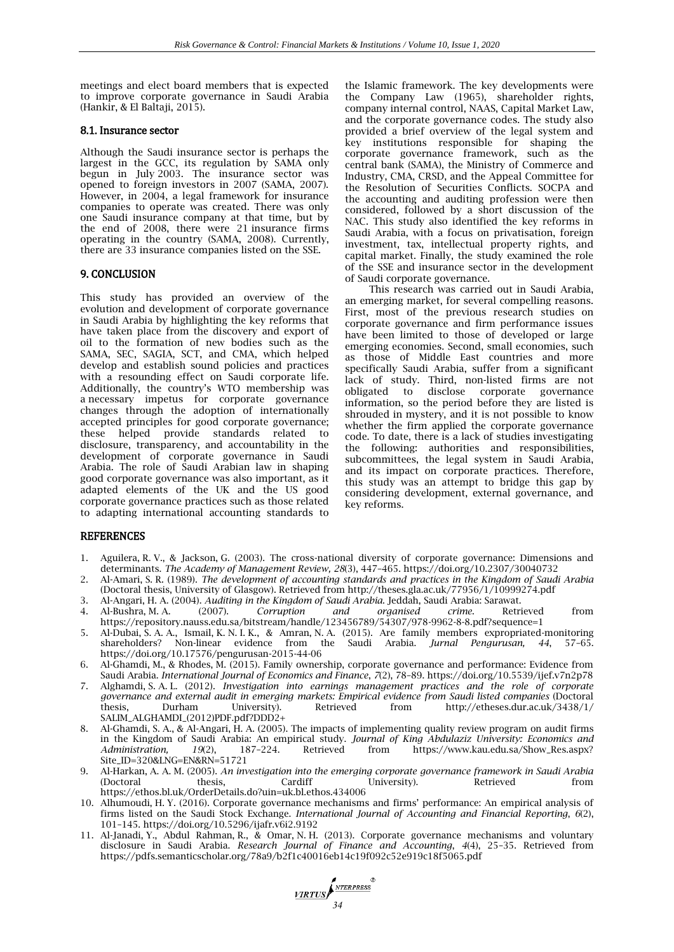meetings and elect board members that is expected to improve corporate governance in Saudi Arabia (Hankir, & El Baltaji, 2015).

## 8.1. Insurance sector

Although the Saudi insurance sector is perhaps the largest in the GCC, its regulation by SAMA only begun in July 2003. The insurance sector was opened to foreign investors in 2007 (SAMA, 2007). However, in 2004, a legal framework for insurance companies to operate was created. There was only one Saudi insurance company at that time, but by the end of 2008, there were 21 insurance firms operating in the country (SAMA, 2008). Currently, there are 33 insurance companies listed on the SSE.

## 9. CONCLUSION

This study has provided an overview of the evolution and development of corporate governance in Saudi Arabia by highlighting the key reforms that have taken place from the discovery and export of oil to the formation of new bodies such as the SAMA, SEC, SAGIA, SCT, and CMA, which helped develop and establish sound policies and practices with a resounding effect on Saudi corporate life. Additionally, the country's WTO membership was a necessary impetus for corporate governance changes through the adoption of internationally accepted principles for good corporate governance; these helped provide standards related to disclosure, transparency, and accountability in the development of corporate governance in Saudi Arabia. The role of Saudi Arabian law in shaping good corporate governance was also important, as it adapted elements of the UK and the US good corporate governance practices such as those related to adapting international accounting standards to

the Islamic framework. The key developments were the Company Law (1965), shareholder rights, company internal control, NAAS, Capital Market Law, and the corporate governance codes. The study also provided a brief overview of the legal system and key institutions responsible for shaping the corporate governance framework, such as the central bank (SAMA), the Ministry of Commerce and Industry, CMA, CRSD, and the Appeal Committee for the Resolution of Securities Conflicts. SOCPA and the accounting and auditing profession were then considered, followed by a short discussion of the NAC. This study also identified the key reforms in Saudi Arabia, with a focus on privatisation, foreign investment, tax, intellectual property rights, and capital market. Finally, the study examined the role of the SSE and insurance sector in the development of Saudi corporate governance.

This research was carried out in Saudi Arabia, an emerging market, for several compelling reasons. First, most of the previous research studies on corporate governance and firm performance issues have been limited to those of developed or large emerging economies. Second, small economies, such as those of Middle East countries and more specifically Saudi Arabia, suffer from a significant lack of study. Third, non-listed firms are not obligated to disclose corporate governance information, so the period before they are listed is shrouded in mystery, and it is not possible to know whether the firm applied the corporate governance code. To date, there is a lack of studies investigating the following: authorities and responsibilities, subcommittees, the legal system in Saudi Arabia, and its impact on corporate practices. Therefore, this study was an attempt to bridge this gap by considering development, external governance, and key reforms.

## REFERENCES

- 1. Aguilera, R. V., & Jackson, G. (2003). The cross-national diversity of corporate governance: Dimensions and determinants. *The Academy of Management Review, 28*(3), 447–465. https://doi.org/10.2307/30040732
- 2. Al-Amari, S. R. (1989). *The development of accounting standards and practices in the Kingdom of Saudi Arabia* (Doctoral thesis, University of Glasgow). Retrieved from http://theses.gla.ac.uk/77956/1/10999274.pdf
- 3. Al-Angari, H. A. (2004). *Auditing in the Kingdom of Saudi Arabia*. Jeddah, Saudi Arabia: Sarawat.
- 4. Al-Bushra, M. A. (2007). *Corruption and organised crime*. Retrieved from https://repository.nauss.edu.sa/bitstream/handle/123456789/54307/978-9962-8-8.pdf?sequence=1
- 5. Al-Dubai, S. A. A., Ismail, K. N. I. K., & Amran, N. A. (2015). Are family members expropriated-monitoring shareholders? Non-linear evidence from the Saudi Arabia. *Jurnal Pengurusan, 44*, 57–65. https://doi.org/10.17576/pengurusan-2015-44-06
- 6. Al-Ghamdi, M., & Rhodes, M. (2015). Family ownership, corporate governance and performance: Evidence from Saudi Arabia. *International Journal of Economics and Finance*, *7*(2), 78–89. https://doi.org/10.5539/ijef.v7n2p78
- 7. Alghamdi, S. A. L. (2012). *Investigation into earnings management practices and the role of corporate governance and external audit in emerging markets: Empirical evidence from Saudi listed companies* (Doctoral thesis, Durham University). Retrieved from http://etheses.dur.ac.uk/3438/1/ SALIM\_ALGHAMDI\_(2012)PDF.pdf?DDD2+
- 8. Al-Ghamdi, S. A., & Al-Angari, H. A. (2005). The impacts of implementing quality review program on audit firms in the Kingdom of Saudi Arabia: An empirical study. *Journal of King Abdulaziz University: Economics and Administration, 19*(2), 187–224. Retrieved from https://www.kau.edu.sa/Show\_Res.aspx? Site\_ID=320&LNG=EN&RN=51721
- 9. Al-Harkan, A. A. M. (2005). *An investigation into the emerging corporate governance framework in Saudi Arabia* (Doctoral thesis, Cardiff University). Retrieved from https://ethos.bl.uk/OrderDetails.do?uin=uk.bl.ethos.434006
- 10. Alhumoudi, H. Y. (2016). Corporate governance mechanisms and firms' performance: An empirical analysis of firms listed on the Saudi Stock Exchange. *International Journal of Accounting and Financial Reporting*, *6*(2), 101–145. https://doi.org/10.5296/ijafr.v6i2.9192
- 11. Al-Janadi, Y., Abdul Rahman, R., & Omar, N. H. (2013). Corporate governance mechanisms and voluntary disclosure in Saudi Arabia. *Research Journal of Finance and Accounting*, *4*(4), 25–35. Retrieved from https://pdfs.semanticscholar.org/78a9/b2f1c40016eb14c19f092c52e919c18f5065.pdf

**VIRTUS** *SNTERPRESS*<sup><sup>®</sup><br>34</sup>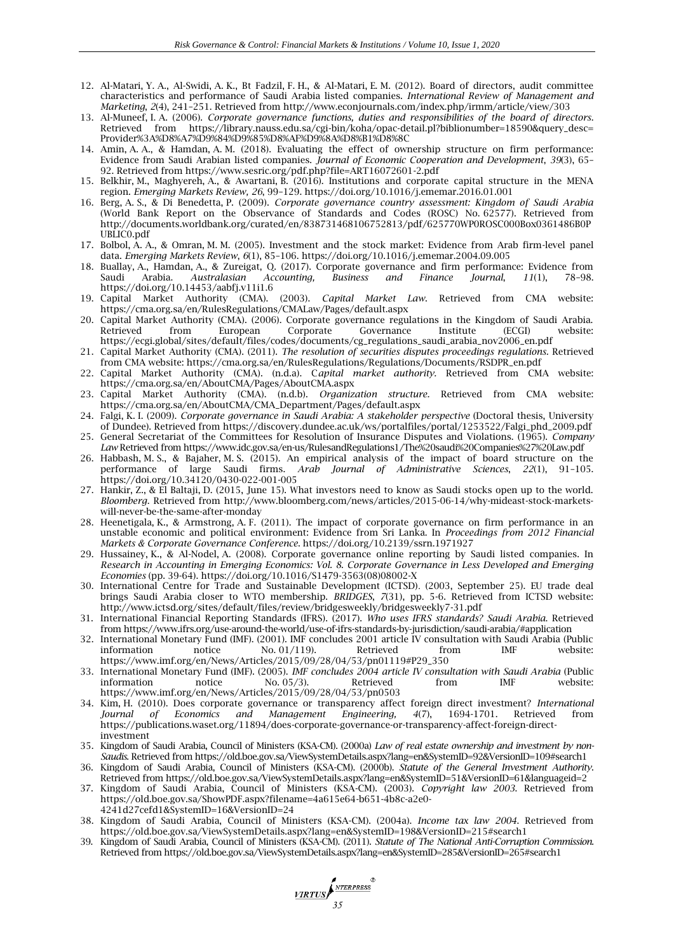- 12. Al-Matari, Y. A., Al-Swidi, A. K., Bt Fadzil, F. H., & Al-Matari, E. M. (2012). Board of directors, audit committee characteristics and performance of Saudi Arabia listed companies. *International Review of Management and Marketing*, *2*(4), 241–251. Retrieved from http://www.econjournals.com/index.php/irmm/article/view/303
- 13. Al-Muneef, I. A. (2006). *Corporate governance functions, duties and responsibilities of the board of directors*. Retrieved from https://library.nauss.edu.sa/cgi-bin/koha/opac-detail.pl?biblionumber=18590&query\_desc= Provider%3A%D8%A7%D9%84%D9%85%D8%AF%D9%8A%D8%B1%D8%8C
- 14. Amin, A. A., & Hamdan, A. M. (2018). Evaluating the effect of ownership structure on firm performance: Evidence from Saudi Arabian listed companies. *Journal of Economic Cooperation and Development*, *39*(3), 65– 92. Retrieved from https://www.sesric.org/pdf.php?file=ART16072601-2.pdf
- 15. Belkhir, M., Maghyereh, A., & Awartani, B. (2016). Institutions and corporate capital structure in the MENA region. *Emerging Markets Review, 26*, 99–129. https://doi.org/10.1016/j.ememar.2016.01.001
- 16. Berg, A. S., & Di Benedetta, P. (2009). *Corporate governance country assessment: Kingdom of Saudi Arabia*  (World Bank Report on the Observance of Standards and Codes (ROSC) No. 62577). Retrieved from http://documents.worldbank.org/curated/en/838731468106752813/pdf/625770WP0ROSC000Box0361486B0P UBLIC0.pdf
- 17. Bolbol, A. A., & Omran, M. M. (2005). Investment and the stock market: Evidence from Arab firm-level panel data. *Emerging Markets Review*, *6*(1), 85–106. https://doi.org/10.1016/j.ememar.2004.09.005
- 18. Buallay, A., Hamdan, A., & Zureigat, Q. (2017). Corporate governance and firm performance: Evidence from Saudi Arabia. *Australasian Accounting, Business and Finance Journal*, *11*(1), 78–98. https://doi.org/10.14453/aabfj.v11i1.6
- 19. Capital Market Authority (CMA). (2003). *Capital Market Law*. Retrieved from CMA website: https://cma.org.sa/en/RulesRegulations/CMALaw/Pages/default.aspx
- 20. Capital Market Authority (CMA). (2006). Corporate governance regulations in the Kingdom of Saudi Arabia. Retrieved from European Corporate Governance Institute (ECGI) website: https://ecgi.global/sites/default/files/codes/documents/cg\_regulations\_saudi\_arabia\_nov2006\_en.pdf
- 21. Capital Market Authority (CMA). (2011). *The resolution of securities disputes proceedings regulations.* Retrieved from CMA website: https://cma.org.sa/en/RulesRegulations/Regulations/Documents/RSDPR\_en.pdf
- 22. Capital Market Authority (CMA). (n.d.a). C*apital market authority.* Retrieved from CMA website: https://cma.org.sa/en/AboutCMA/Pages/AboutCMA.aspx
- 23. Capital Market Authority (CMA). (n.d.b). *Organization structure.* Retrieved from CMA website: https://cma.org.sa/en/AboutCMA/CMA\_Department/Pages/default.aspx
- 24. Falgi, K. I. (2009). *Corporate governance in Saudi Arabia: A stakeholder perspective* (Doctoral thesis, University of Dundee). Retrieved from https://discovery.dundee.ac.uk/ws/portalfiles/portal/1253522/Falgi\_phd\_2009.pdf
- 25. General Secretariat of the Committees for Resolution of Insurance Disputes and Violations. (1965). *Company Law* Retrieved from https://www.idc.gov.sa/en-us/RulesandRegulations1/The%20saudi%20Companies%27%20Law.pdf
- 26. Habbash, M. S., & Bajaher, M. S. (2015). An empirical analysis of the impact of board structure on the performance of large Saudi firms. *Arab Journal of Administrative Sciences*, *22*(1), 91–105. https://doi.org/10.34120/0430-022-001-005
- 27. Hankir, Z., & El Baltaji, D. (2015, June 15). What investors need to know as Saudi stocks open up to the world. *Bloomberg*. Retrieved from http://www.bloomberg.com/news/articles/2015-06-14/why-mideast-stock-marketswill-never-be-the-same-after-monday
- 28. Heenetigala, K., & Armstrong, A. F. (2011). The impact of corporate governance on firm performance in an unstable economic and political environment: Evidence from Sri Lanka. In *Proceedings from 2012 Financial Markets & Corporate Governance Conference*. https://doi.org/10.2139/ssrn.1971927
- 29. Hussainey, K., & Al-Nodel, A. (2008). Corporate governance online reporting by Saudi listed companies. In *Research in Accounting in Emerging Economics: Vol. 8*. *Corporate Governance in Less Developed and Emerging Economies* (pp. 39-64). https://doi.org/10.1016/S1479-3563(08)08002-X
- 30. International Centre for Trade and Sustainable Development (ICTSD). (2003, September 25). EU trade deal brings Saudi Arabia closer to WTO membership. *BRIDGES*, *7*(31), pp. 5-6. Retrieved from ICTSD website: http://www.ictsd.org/sites/default/files/review/bridgesweekly/bridgesweekly7-31.pdf
- 31. International Financial Reporting Standards (IFRS). (2017). *Who uses IFRS standards? Saudi Arabia*. Retrieved from https://www.ifrs.org/use-around-the-world/use-of-ifrs-standards-by-jurisdiction/saudi-arabia/#application
- 32. International Monetary Fund (IMF). (2001). IMF concludes 2001 article IV consultation with Saudi Arabia (Public information notice No. 01/119). Retrieved from IMF website: https://www.imf.org/en/News/Articles/2015/09/28/04/53/pn01119#P29\_350
- 33. International Monetary Fund (IMF). (2005). *IMF concludes 2004 article IV consultation with Saudi Arabia* (Public information notice No. 05/3). Retrieved from IMF website: https://www.imf.org/en/News/Articles/2015/09/28/04/53/pn0503
- 34. Kim, H. (2010). Does corporate governance or transparency affect foreign direct investment? *International Journal of Economics and Management Engineering, 4*(7), 1694-1701. Retrieved from https://publications.waset.org/11894/does-corporate-governance-or-transparency-affect-foreign-directinvestment
- 35. Kingdom of Saudi Arabia, Council of Ministers (KSA-CM). (2000a) *Law of real estate ownership and investment by non-Saudis*. Retrieved from https://old.boe.gov.sa/ViewSystemDetails.aspx?lang=en&SystemID=92&VersionID=109#search1
- 36. Kingdom of Saudi Arabia, Council of Ministers (KSA-CM). (2000b). *Statute of the General Investment Authority*. Retrieved from https://old.boe.gov.sa/ViewSystemDetails.aspx?lang=en&SystemID=51&VersionID=61&languageid=2
- 37. Kingdom of Saudi Arabia, Council of Ministers (KSA-CM). (2003). *Copyright law 2003*. Retrieved from https://old.boe.gov.sa/ShowPDF.aspx?filename=4a615e64-b651-4b8c-a2e0- 4241d27cefd1&SystemID=16&VersionID=24
- 38. Kingdom of Saudi Arabia, Council of Ministers (KSA-CM). (2004a). *Income tax law 2004*. Retrieved from https://old.boe.gov.sa/ViewSystemDetails.aspx?lang=en&SystemID=198&VersionID=215#search1
- 39. Kingdom of Saudi Arabia, Council of Ministers (KSA-CM). (2011). *Statute of The National Anti-Corruption Commission*. Retrieved from https://old.boe.gov.sa/ViewSystemDetails.aspx?lang=en&SystemID=285&VersionID=265#search1

**VIRTUS** STERPRESS